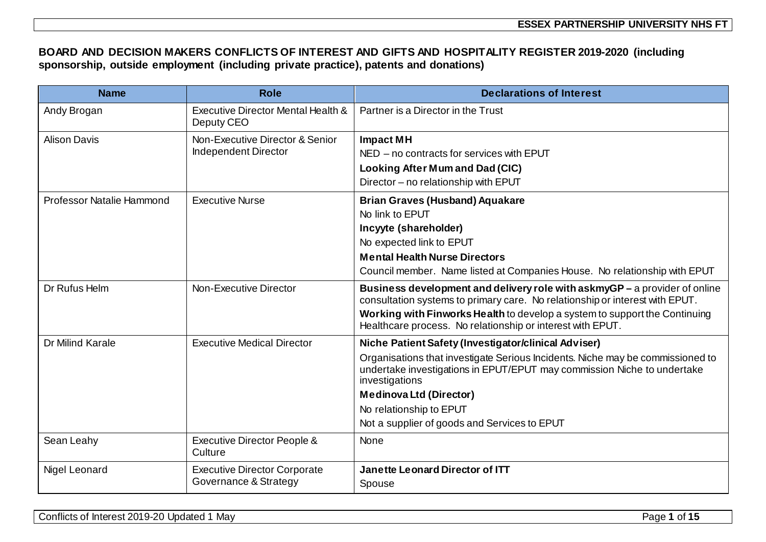## **BOARD AND DECISION MAKERS CONFLICTS OF INTEREST AND GIFTS AND HOSPITALITY REGISTER 2019-2020 (including sponsorship, outside employment (including private practice), patents and donations)**

| <b>Name</b>               | <b>Role</b>                                                  | <b>Declarations of Interest</b>                                                                                                                                                                                                                                                                                                                  |
|---------------------------|--------------------------------------------------------------|--------------------------------------------------------------------------------------------------------------------------------------------------------------------------------------------------------------------------------------------------------------------------------------------------------------------------------------------------|
| Andy Brogan               | Executive Director Mental Health &<br>Deputy CEO             | Partner is a Director in the Trust                                                                                                                                                                                                                                                                                                               |
| <b>Alison Davis</b>       | Non-Executive Director & Senior<br>Independent Director      | <b>Impact MH</b><br>NED - no contracts for services with EPUT<br>Looking After Mum and Dad (CIC)<br>Director - no relationship with EPUT                                                                                                                                                                                                         |
| Professor Natalie Hammond | <b>Executive Nurse</b>                                       | <b>Brian Graves (Husband) Aquakare</b><br>No link to EPUT<br>Incyyte (shareholder)<br>No expected link to EPUT<br><b>Mental Health Nurse Directors</b><br>Council member. Name listed at Companies House. No relationship with EPUT                                                                                                              |
| Dr Rufus Helm             | Non-Executive Director                                       | Business development and delivery role with askmyGP – a provider of online<br>consultation systems to primary care. No relationship or interest with EPUT.<br>Working with Finworks Health to develop a system to support the Continuing<br>Healthcare process. No relationship or interest with EPUT.                                           |
| <b>Dr Milind Karale</b>   | <b>Executive Medical Director</b>                            | Niche Patient Safety (Investigator/clinical Adviser)<br>Organisations that investigate Serious Incidents. Niche may be commissioned to<br>undertake investigations in EPUT/EPUT may commission Niche to undertake<br>investigations<br><b>Medinova Ltd (Director)</b><br>No relationship to EPUT<br>Not a supplier of goods and Services to EPUT |
| Sean Leahy                | Executive Director People &<br>Culture                       | None                                                                                                                                                                                                                                                                                                                                             |
| Nigel Leonard             | <b>Executive Director Corporate</b><br>Governance & Strategy | <b>Janette Leonard Director of ITT</b><br>Spouse                                                                                                                                                                                                                                                                                                 |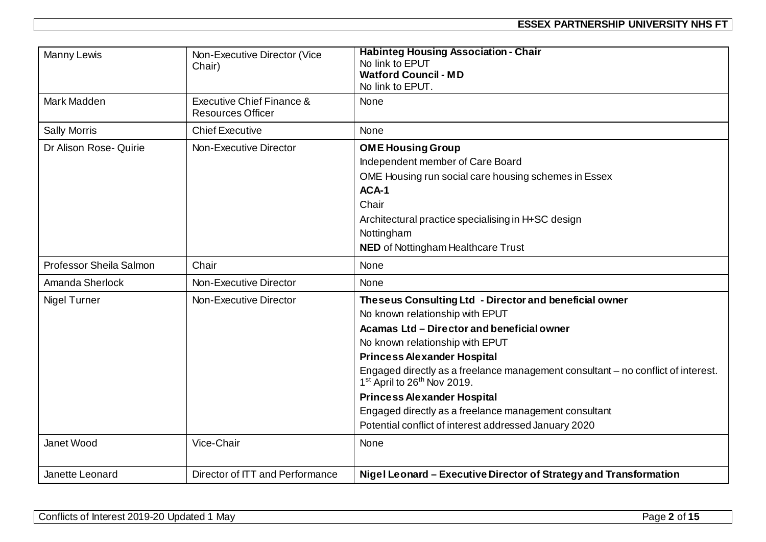| Manny Lewis             | Non-Executive Director (Vice<br>Chair)                | <b>Habinteg Housing Association - Chair</b><br>No link to EPUT<br><b>Watford Council - MD</b><br>No link to EPUT.                                                                                                                                                                                                                                                                                                                                                                                                   |
|-------------------------|-------------------------------------------------------|---------------------------------------------------------------------------------------------------------------------------------------------------------------------------------------------------------------------------------------------------------------------------------------------------------------------------------------------------------------------------------------------------------------------------------------------------------------------------------------------------------------------|
| Mark Madden             | Executive Chief Finance &<br><b>Resources Officer</b> | <b>None</b>                                                                                                                                                                                                                                                                                                                                                                                                                                                                                                         |
| <b>Sally Morris</b>     | <b>Chief Executive</b>                                | <b>None</b>                                                                                                                                                                                                                                                                                                                                                                                                                                                                                                         |
| Dr Alison Rose- Quirie  | Non-Executive Director                                | <b>OME Housing Group</b><br>Independent member of Care Board<br>OME Housing run social care housing schemes in Essex<br>ACA-1<br>Chair<br>Architectural practice specialising in H+SC design<br>Nottingham                                                                                                                                                                                                                                                                                                          |
|                         |                                                       | <b>NED</b> of Nottingham Healthcare Trust                                                                                                                                                                                                                                                                                                                                                                                                                                                                           |
| Professor Sheila Salmon | Chair                                                 | <b>None</b>                                                                                                                                                                                                                                                                                                                                                                                                                                                                                                         |
| Amanda Sherlock         | Non-Executive Director                                | <b>None</b>                                                                                                                                                                                                                                                                                                                                                                                                                                                                                                         |
| <b>Nigel Turner</b>     | Non-Executive Director                                | Theseus Consulting Ltd - Director and beneficial owner<br>No known relationship with EPUT<br>Acamas Ltd - Director and beneficial owner<br>No known relationship with EPUT<br><b>Princess Alexander Hospital</b><br>Engaged directly as a freelance management consultant - no conflict of interest.<br>1 <sup>st</sup> April to 26 <sup>th</sup> Nov 2019.<br><b>Princess Alexander Hospital</b><br>Engaged directly as a freelance management consultant<br>Potential conflict of interest addressed January 2020 |
| Janet Wood              | Vice-Chair                                            | None                                                                                                                                                                                                                                                                                                                                                                                                                                                                                                                |
| Janette Leonard         | Director of ITT and Performance                       | Nigel Leonard - Executive Director of Strategy and Transformation                                                                                                                                                                                                                                                                                                                                                                                                                                                   |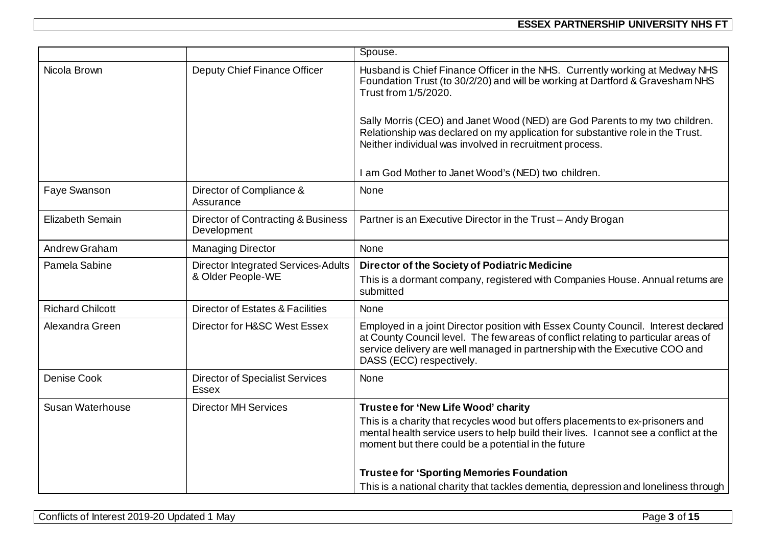|                         |                                                        | Spouse.                                                                                                                                                                                                                                                                             |
|-------------------------|--------------------------------------------------------|-------------------------------------------------------------------------------------------------------------------------------------------------------------------------------------------------------------------------------------------------------------------------------------|
| Nicola Brown            | Deputy Chief Finance Officer                           | Husband is Chief Finance Officer in the NHS. Currently working at Medway NHS<br>Foundation Trust (to 30/2/20) and will be working at Dartford & Gravesham NHS<br>Trust from 1/5/2020.                                                                                               |
|                         |                                                        | Sally Morris (CEO) and Janet Wood (NED) are God Parents to my two children.<br>Relationship was declared on my application for substantive role in the Trust.<br>Neither individual was involved in recruitment process.                                                            |
|                         |                                                        | I am God Mother to Janet Wood's (NED) two children.                                                                                                                                                                                                                                 |
| Faye Swanson            | Director of Compliance &<br>Assurance                  | None                                                                                                                                                                                                                                                                                |
| Elizabeth Semain        | Director of Contracting & Business<br>Development      | Partner is an Executive Director in the Trust - Andy Brogan                                                                                                                                                                                                                         |
| Andrew Graham           | <b>Managing Director</b>                               | None                                                                                                                                                                                                                                                                                |
| Pamela Sabine           | <b>Director Integrated Services-Adults</b>             | Director of the Society of Podiatric Medicine                                                                                                                                                                                                                                       |
|                         | & Older People-WE                                      | This is a dormant company, registered with Companies House. Annual returns are<br>submitted                                                                                                                                                                                         |
| <b>Richard Chilcott</b> | <b>Director of Estates &amp; Facilities</b>            | None                                                                                                                                                                                                                                                                                |
| Alexandra Green         | Director for H&SC West Essex                           | Employed in a joint Director position with Essex County Council. Interest declared<br>at County Council level. The few areas of conflict relating to particular areas of<br>service delivery are well managed in partnership with the Executive COO and<br>DASS (ECC) respectively. |
| <b>Denise Cook</b>      | <b>Director of Specialist Services</b><br><b>Essex</b> | <b>None</b>                                                                                                                                                                                                                                                                         |
| <b>Susan Waterhouse</b> | <b>Director MH Services</b>                            | Trustee for 'New Life Wood' charity                                                                                                                                                                                                                                                 |
|                         |                                                        | This is a charity that recycles wood but offers placements to ex-prisoners and<br>mental health service users to help build their lives. I cannot see a conflict at the<br>moment but there could be a potential in the future                                                      |
|                         |                                                        | <b>Trustee for 'Sporting Memories Foundation</b>                                                                                                                                                                                                                                    |
|                         |                                                        | This is a national charity that tackles dementia, depression and loneliness through                                                                                                                                                                                                 |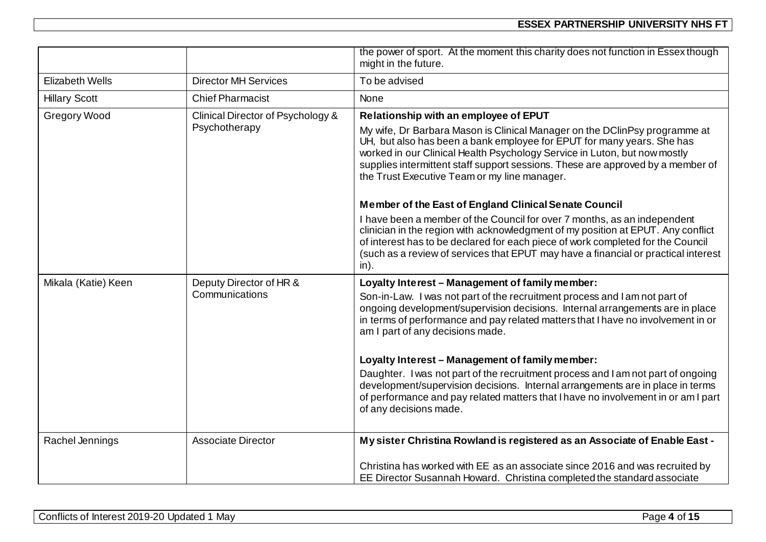|                        |                                                    | the power of sport. At the moment this charity does not function in Essex though<br>might in the future.                                                                                                                                                                                                                                                                                                                                                                                                                                                                                                                                                                                                                  |
|------------------------|----------------------------------------------------|---------------------------------------------------------------------------------------------------------------------------------------------------------------------------------------------------------------------------------------------------------------------------------------------------------------------------------------------------------------------------------------------------------------------------------------------------------------------------------------------------------------------------------------------------------------------------------------------------------------------------------------------------------------------------------------------------------------------------|
| <b>Elizabeth Wells</b> | <b>Director MH Services</b>                        | To be advised                                                                                                                                                                                                                                                                                                                                                                                                                                                                                                                                                                                                                                                                                                             |
| <b>Hillary Scott</b>   | <b>Chief Pharmacist</b>                            | None                                                                                                                                                                                                                                                                                                                                                                                                                                                                                                                                                                                                                                                                                                                      |
| <b>Gregory Wood</b>    | Clinical Director of Psychology &<br>Psychotherapy | Relationship with an employee of EPUT<br>My wife, Dr Barbara Mason is Clinical Manager on the DClinPsy programme at<br>UH, but also has been a bank employee for EPUT for many years. She has<br>worked in our Clinical Health Psychology Service in Luton, but now mostly<br>supplies intermittent staff support sessions. These are approved by a member of<br>the Trust Executive Team or my line manager.<br>Member of the East of England Clinical Senate Council<br>I have been a member of the Council for over 7 months, as an independent<br>clinician in the region with acknowledgment of my position at EPUT. Any conflict<br>of interest has to be declared for each piece of work completed for the Council |
|                        |                                                    | (such as a review of services that EPUT may have a financial or practical interest<br>$in$ ).                                                                                                                                                                                                                                                                                                                                                                                                                                                                                                                                                                                                                             |
| Mikala (Katie) Keen    | Deputy Director of HR &<br>Communications          | Loyalty Interest - Management of family member:<br>Son-in-Law. I was not part of the recruitment process and I am not part of<br>ongoing development/supervision decisions. Internal arrangements are in place<br>in terms of performance and pay related matters that I have no involvement in or<br>am I part of any decisions made.                                                                                                                                                                                                                                                                                                                                                                                    |
|                        |                                                    | Loyalty Interest - Management of family member:                                                                                                                                                                                                                                                                                                                                                                                                                                                                                                                                                                                                                                                                           |
|                        |                                                    | Daughter. I was not part of the recruitment process and I am not part of ongoing<br>development/supervision decisions. Internal arrangements are in place in terms<br>of performance and pay related matters that I have no involvement in or am I part<br>of any decisions made.                                                                                                                                                                                                                                                                                                                                                                                                                                         |
| Rachel Jennings        | <b>Associate Director</b>                          | My sister Christina Rowland is registered as an Associate of Enable East -                                                                                                                                                                                                                                                                                                                                                                                                                                                                                                                                                                                                                                                |
|                        |                                                    | Christina has worked with EE as an associate since 2016 and was recruited by<br>EE Director Susannah Howard. Christina completed the standard associate                                                                                                                                                                                                                                                                                                                                                                                                                                                                                                                                                                   |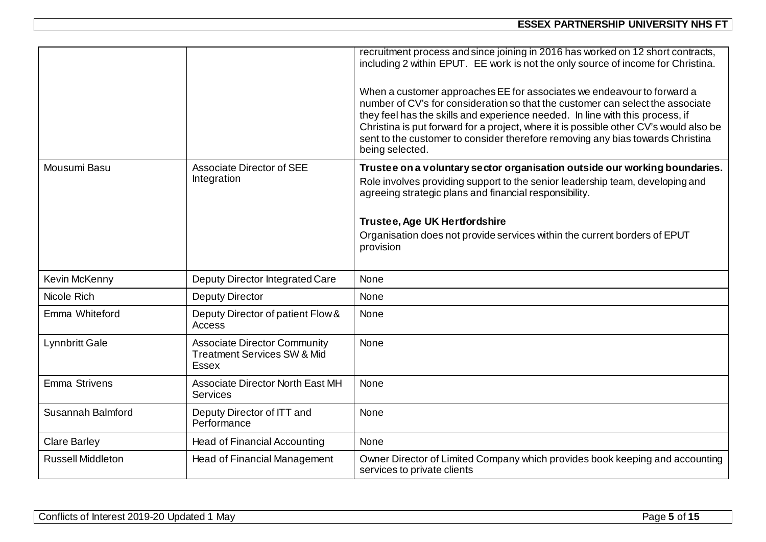|                          |                                                                                               | recruitment process and since joining in 2016 has worked on 12 short contracts,<br>including 2 within EPUT. EE work is not the only source of income for Christina.<br>When a customer approaches EE for associates we endeavour to forward a<br>number of CV's for consideration so that the customer can select the associate<br>they feel has the skills and experience needed. In line with this process, if<br>Christina is put forward for a project, where it is possible other CV's would also be<br>sent to the customer to consider therefore removing any bias towards Christina<br>being selected. |
|--------------------------|-----------------------------------------------------------------------------------------------|----------------------------------------------------------------------------------------------------------------------------------------------------------------------------------------------------------------------------------------------------------------------------------------------------------------------------------------------------------------------------------------------------------------------------------------------------------------------------------------------------------------------------------------------------------------------------------------------------------------|
| Mousumi Basu             | <b>Associate Director of SEE</b><br>Integration                                               | Trustee on a voluntary sector organisation outside our working boundaries.<br>Role involves providing support to the senior leadership team, developing and<br>agreeing strategic plans and financial responsibility.<br><b>Trustee, Age UK Hertfordshire</b><br>Organisation does not provide services within the current borders of EPUT<br>provision                                                                                                                                                                                                                                                        |
| Kevin McKenny            | Deputy Director Integrated Care                                                               | <b>None</b>                                                                                                                                                                                                                                                                                                                                                                                                                                                                                                                                                                                                    |
| Nicole Rich              | <b>Deputy Director</b>                                                                        | <b>None</b>                                                                                                                                                                                                                                                                                                                                                                                                                                                                                                                                                                                                    |
| Emma Whiteford           | Deputy Director of patient Flow &<br><b>Access</b>                                            | <b>None</b>                                                                                                                                                                                                                                                                                                                                                                                                                                                                                                                                                                                                    |
| <b>Lynnbritt Gale</b>    | <b>Associate Director Community</b><br><b>Treatment Services SW &amp; Mid</b><br><b>Essex</b> | None                                                                                                                                                                                                                                                                                                                                                                                                                                                                                                                                                                                                           |
| <b>Emma Strivens</b>     | <b>Associate Director North East MH</b><br><b>Services</b>                                    | None                                                                                                                                                                                                                                                                                                                                                                                                                                                                                                                                                                                                           |
| Susannah Balmford        | Deputy Director of ITT and<br>Performance                                                     | <b>None</b>                                                                                                                                                                                                                                                                                                                                                                                                                                                                                                                                                                                                    |
| <b>Clare Barley</b>      | <b>Head of Financial Accounting</b>                                                           | <b>None</b>                                                                                                                                                                                                                                                                                                                                                                                                                                                                                                                                                                                                    |
| <b>Russell Middleton</b> | Head of Financial Management                                                                  | Owner Director of Limited Company which provides book keeping and accounting<br>services to private clients                                                                                                                                                                                                                                                                                                                                                                                                                                                                                                    |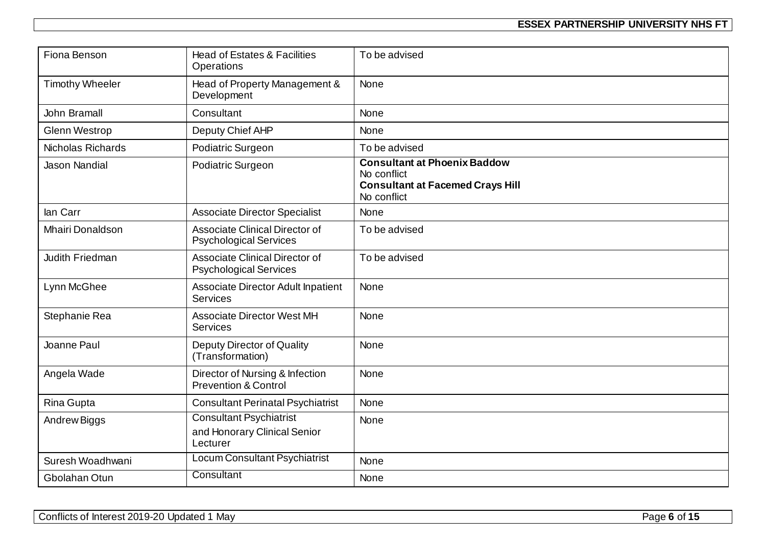| Fiona Benson            | <b>Head of Estates &amp; Facilities</b><br><b>Operations</b>               | To be advised                                                                                                |
|-------------------------|----------------------------------------------------------------------------|--------------------------------------------------------------------------------------------------------------|
| <b>Timothy Wheeler</b>  | Head of Property Management &<br>Development                               | None                                                                                                         |
| <b>John Bramall</b>     | Consultant                                                                 | None                                                                                                         |
| <b>Glenn Westrop</b>    | Deputy Chief AHP                                                           | None                                                                                                         |
| Nicholas Richards       | Podiatric Surgeon                                                          | To be advised                                                                                                |
| <b>Jason Nandial</b>    | Podiatric Surgeon                                                          | <b>Consultant at Phoenix Baddow</b><br>No conflict<br><b>Consultant at Facemed Crays Hill</b><br>No conflict |
| lan Carr                | <b>Associate Director Specialist</b>                                       | None                                                                                                         |
| <b>Mhairi Donaldson</b> | <b>Associate Clinical Director of</b><br><b>Psychological Services</b>     | To be advised                                                                                                |
| Judith Friedman         | Associate Clinical Director of<br><b>Psychological Services</b>            | To be advised                                                                                                |
| Lynn McGhee             | Associate Director Adult Inpatient<br><b>Services</b>                      | None                                                                                                         |
| Stephanie Rea           | <b>Associate Director West MH</b><br><b>Services</b>                       | <b>None</b>                                                                                                  |
| Joanne Paul             | Deputy Director of Quality<br>(Transformation)                             | None                                                                                                         |
| Angela Wade             | Director of Nursing & Infection<br><b>Prevention &amp; Control</b>         | None                                                                                                         |
| Rina Gupta              | <b>Consultant Perinatal Psychiatrist</b>                                   | <b>None</b>                                                                                                  |
| Andrew Biggs            | <b>Consultant Psychiatrist</b><br>and Honorary Clinical Senior<br>Lecturer | None                                                                                                         |
| Suresh Woadhwani        | Locum Consultant Psychiatrist                                              | None                                                                                                         |
| Gbolahan Otun           | Consultant                                                                 | None                                                                                                         |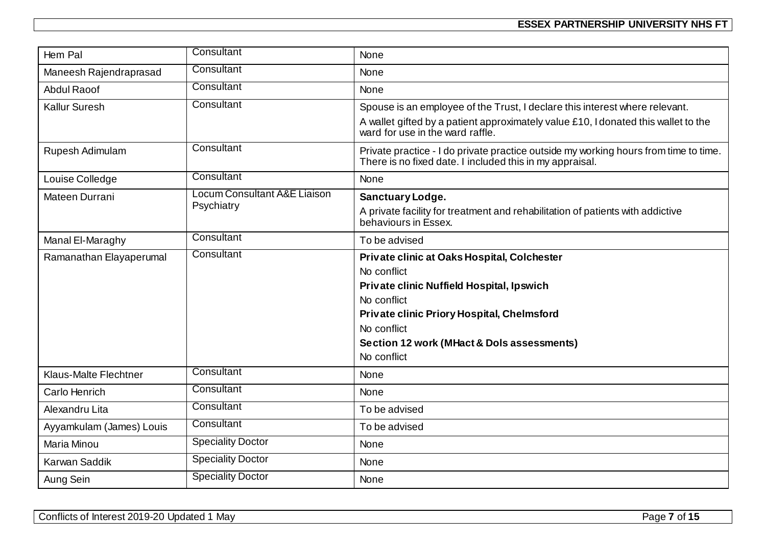| Hem Pal                      | Consultant                                 | <b>None</b>                                                                                                                                                                                                                                      |
|------------------------------|--------------------------------------------|--------------------------------------------------------------------------------------------------------------------------------------------------------------------------------------------------------------------------------------------------|
| Maneesh Rajendraprasad       | Consultant                                 | <b>None</b>                                                                                                                                                                                                                                      |
| <b>Abdul Raoof</b>           | Consultant                                 | None                                                                                                                                                                                                                                             |
| <b>Kallur Suresh</b>         | Consultant                                 | Spouse is an employee of the Trust, I declare this interest where relevant.<br>A wallet gifted by a patient approximately value £10, I donated this wallet to the<br>ward for use in the ward raffle.                                            |
| Rupesh Adimulam              | Consultant                                 | Private practice - I do private practice outside my working hours from time to time.<br>There is no fixed date. I included this in my appraisal.                                                                                                 |
| Louise Colledge              | Consultant                                 | <b>None</b>                                                                                                                                                                                                                                      |
| Mateen Durrani               | Locum Consultant A&E Liaison<br>Psychiatry | <b>Sanctuary Lodge.</b><br>A private facility for treatment and rehabilitation of patients with addictive<br>behaviours in Essex.                                                                                                                |
| Manal El-Maraghy             | Consultant                                 | To be advised                                                                                                                                                                                                                                    |
| Ramanathan Elayaperumal      | Consultant                                 | Private clinic at Oaks Hospital, Colchester<br>No conflict<br>Private clinic Nuffield Hospital, Ipswich<br>No conflict<br>Private clinic Priory Hospital, Chelmsford<br>No conflict<br>Section 12 work (MHact & Dols assessments)<br>No conflict |
| <b>Klaus-Malte Flechtner</b> | Consultant                                 | None                                                                                                                                                                                                                                             |
| Carlo Henrich                | Consultant                                 | None                                                                                                                                                                                                                                             |
| Alexandru Lita               | Consultant                                 | To be advised                                                                                                                                                                                                                                    |
| Ayyamkulam (James) Louis     | Consultant                                 | To be advised                                                                                                                                                                                                                                    |
| Maria Minou                  | <b>Speciality Doctor</b>                   | <b>None</b>                                                                                                                                                                                                                                      |
| Karwan Saddik                | <b>Speciality Doctor</b>                   | None                                                                                                                                                                                                                                             |
| Aung Sein                    | <b>Speciality Doctor</b>                   | None                                                                                                                                                                                                                                             |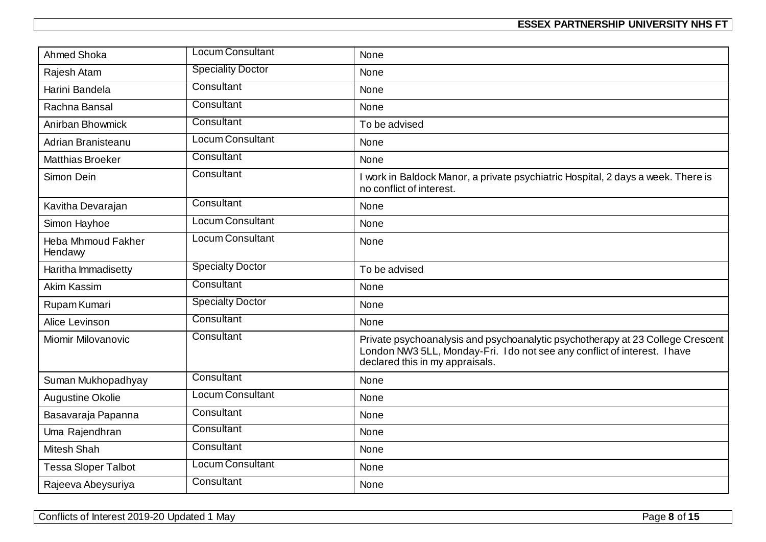| <b>Ahmed Shoka</b>                   | <b>Locum Consultant</b>  | None                                                                                                                                                                                           |
|--------------------------------------|--------------------------|------------------------------------------------------------------------------------------------------------------------------------------------------------------------------------------------|
| Rajesh Atam                          | <b>Speciality Doctor</b> | <b>None</b>                                                                                                                                                                                    |
| Harini Bandela                       | Consultant               | <b>None</b>                                                                                                                                                                                    |
| Rachna Bansal                        | Consultant               | None                                                                                                                                                                                           |
| Anirban Bhowmick                     | Consultant               | To be advised                                                                                                                                                                                  |
| Adrian Branisteanu                   | <b>Locum Consultant</b>  | <b>None</b>                                                                                                                                                                                    |
| <b>Matthias Broeker</b>              | Consultant               | None                                                                                                                                                                                           |
| Simon Dein                           | Consultant               | I work in Baldock Manor, a private psychiatric Hospital, 2 days a week. There is<br>no conflict of interest.                                                                                   |
| Kavitha Devarajan                    | Consultant               | None                                                                                                                                                                                           |
| Simon Hayhoe                         | <b>Locum Consultant</b>  | None                                                                                                                                                                                           |
| <b>Heba Mhmoud Fakher</b><br>Hendawy | Locum Consultant         | <b>None</b>                                                                                                                                                                                    |
| Haritha Immadisetty                  | <b>Specialty Doctor</b>  | To be advised                                                                                                                                                                                  |
| <b>Akim Kassim</b>                   | Consultant               | <b>None</b>                                                                                                                                                                                    |
| Rupam Kumari                         | <b>Specialty Doctor</b>  | None                                                                                                                                                                                           |
| Alice Levinson                       | Consultant               | <b>None</b>                                                                                                                                                                                    |
| Miomir Milovanovic                   | Consultant               | Private psychoanalysis and psychoanalytic psychotherapy at 23 College Crescent<br>London NW3 5LL, Monday-Fri. I do not see any conflict of interest. I have<br>declared this in my appraisals. |
| Suman Mukhopadhyay                   | Consultant               | None                                                                                                                                                                                           |
| Augustine Okolie                     | Locum Consultant         | None                                                                                                                                                                                           |
| Basavaraja Papanna                   | Consultant               | <b>None</b>                                                                                                                                                                                    |
| Uma Rajendhran                       | Consultant               | <b>None</b>                                                                                                                                                                                    |
| <b>Mitesh Shah</b>                   | Consultant               | None                                                                                                                                                                                           |
| <b>Tessa Sloper Talbot</b>           | Locum Consultant         | None                                                                                                                                                                                           |
| Rajeeva Abeysuriya                   | Consultant               | None                                                                                                                                                                                           |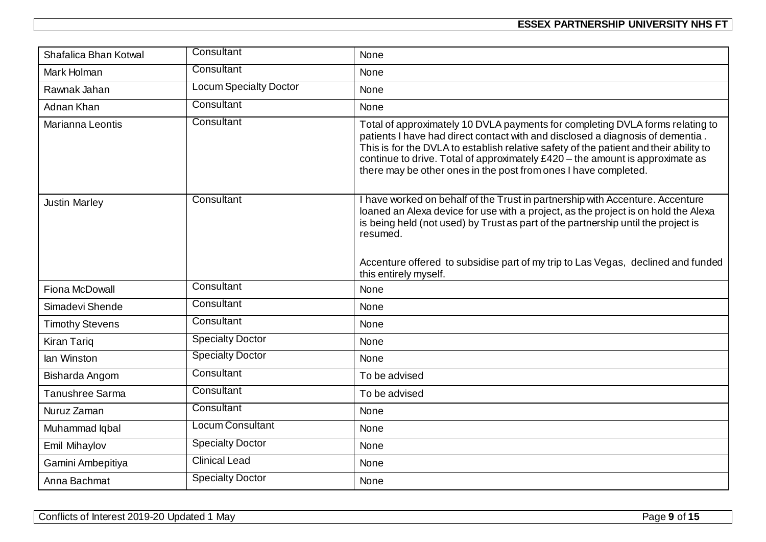| Shafalica Bhan Kotwal  | Consultant                    | <b>None</b>                                                                                                                                                                                                                                                                                                                                                                                                  |
|------------------------|-------------------------------|--------------------------------------------------------------------------------------------------------------------------------------------------------------------------------------------------------------------------------------------------------------------------------------------------------------------------------------------------------------------------------------------------------------|
| Mark Holman            | Consultant                    | <b>None</b>                                                                                                                                                                                                                                                                                                                                                                                                  |
| Rawnak Jahan           | <b>Locum Specialty Doctor</b> | None                                                                                                                                                                                                                                                                                                                                                                                                         |
| Adnan Khan             | Consultant                    | None                                                                                                                                                                                                                                                                                                                                                                                                         |
| Marianna Leontis       | Consultant                    | Total of approximately 10 DVLA payments for completing DVLA forms relating to<br>patients I have had direct contact with and disclosed a diagnosis of dementia.<br>This is for the DVLA to establish relative safety of the patient and their ability to<br>continue to drive. Total of approximately £420 - the amount is approximate as<br>there may be other ones in the post from ones I have completed. |
| <b>Justin Marley</b>   | Consultant                    | I have worked on behalf of the Trust in partnership with Accenture. Accenture<br>loaned an Alexa device for use with a project, as the project is on hold the Alexa<br>is being held (not used) by Trust as part of the partnership until the project is<br>resumed.<br>Accenture offered to subsidise part of my trip to Las Vegas, declined and funded<br>this entirely myself.                            |
| Fiona McDowall         | Consultant                    | <b>None</b>                                                                                                                                                                                                                                                                                                                                                                                                  |
| Simadevi Shende        | Consultant                    | None                                                                                                                                                                                                                                                                                                                                                                                                         |
| <b>Timothy Stevens</b> | Consultant                    | <b>None</b>                                                                                                                                                                                                                                                                                                                                                                                                  |
| <b>Kiran Tariq</b>     | <b>Specialty Doctor</b>       | <b>None</b>                                                                                                                                                                                                                                                                                                                                                                                                  |
| lan Winston            | <b>Specialty Doctor</b>       | None                                                                                                                                                                                                                                                                                                                                                                                                         |
| Bisharda Angom         | Consultant                    | To be advised                                                                                                                                                                                                                                                                                                                                                                                                |
| Tanushree Sarma        | Consultant                    | To be advised                                                                                                                                                                                                                                                                                                                                                                                                |
| Nuruz Zaman            | Consultant                    | None                                                                                                                                                                                                                                                                                                                                                                                                         |
| Muhammad Iqbal         | <b>Locum Consultant</b>       | None                                                                                                                                                                                                                                                                                                                                                                                                         |
| Emil Mihaylov          | <b>Specialty Doctor</b>       | None                                                                                                                                                                                                                                                                                                                                                                                                         |
| Gamini Ambepitiya      | <b>Clinical Lead</b>          | None                                                                                                                                                                                                                                                                                                                                                                                                         |
| Anna Bachmat           | <b>Specialty Doctor</b>       | None                                                                                                                                                                                                                                                                                                                                                                                                         |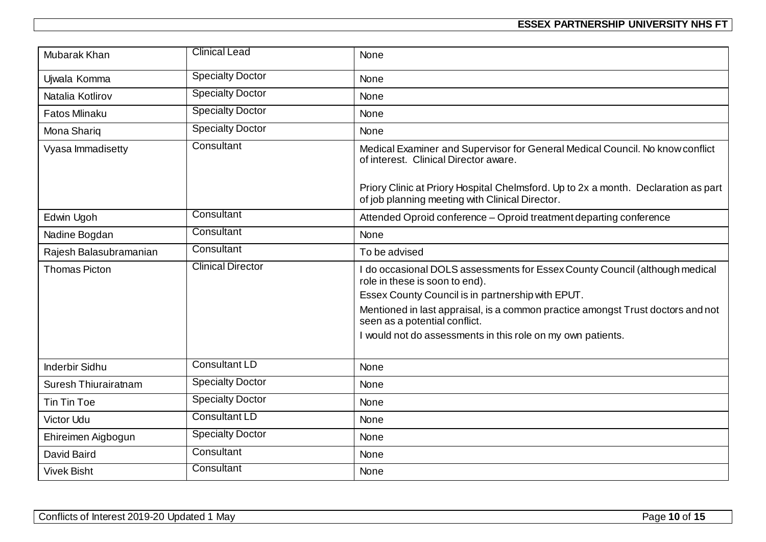| Mubarak Khan           | <b>Clinical Lead</b>     | None                                                                                                                                                               |
|------------------------|--------------------------|--------------------------------------------------------------------------------------------------------------------------------------------------------------------|
| Ujwala Komma           | <b>Specialty Doctor</b>  | None                                                                                                                                                               |
| Natalia Kotlirov       | <b>Specialty Doctor</b>  | None                                                                                                                                                               |
| <b>Fatos Mlinaku</b>   | <b>Specialty Doctor</b>  | None                                                                                                                                                               |
| Mona Shariq            | <b>Specialty Doctor</b>  | None                                                                                                                                                               |
| Vyasa Immadisetty      | Consultant               | Medical Examiner and Supervisor for General Medical Council. No know conflict<br>of interest. Clinical Director aware.                                             |
|                        |                          | Priory Clinic at Priory Hospital Chelmsford. Up to 2x a month. Declaration as part<br>of job planning meeting with Clinical Director.                              |
| Edwin Ugoh             | Consultant               | Attended Oproid conference - Oproid treatment departing conference                                                                                                 |
| Nadine Bogdan          | Consultant               | None                                                                                                                                                               |
| Rajesh Balasubramanian | Consultant               | To be advised                                                                                                                                                      |
| <b>Thomas Picton</b>   | <b>Clinical Director</b> | I do occasional DOLS assessments for Essex County Council (although medical<br>role in these is soon to end).<br>Essex County Council is in partnership with EPUT. |
|                        |                          | Mentioned in last appraisal, is a common practice amongst Trust doctors and not<br>seen as a potential conflict.                                                   |
|                        |                          | I would not do assessments in this role on my own patients.                                                                                                        |
| <b>Inderbir Sidhu</b>  | <b>Consultant LD</b>     | None                                                                                                                                                               |
| Suresh Thiurairatnam   | <b>Specialty Doctor</b>  | None                                                                                                                                                               |
| Tin Tin Toe            | <b>Specialty Doctor</b>  | None                                                                                                                                                               |
| <b>Victor Udu</b>      | <b>Consultant LD</b>     | None                                                                                                                                                               |
| Ehireimen Aigbogun     | <b>Specialty Doctor</b>  | None                                                                                                                                                               |
| David Baird            | Consultant               | None                                                                                                                                                               |
| <b>Vivek Bisht</b>     | Consultant               | None                                                                                                                                                               |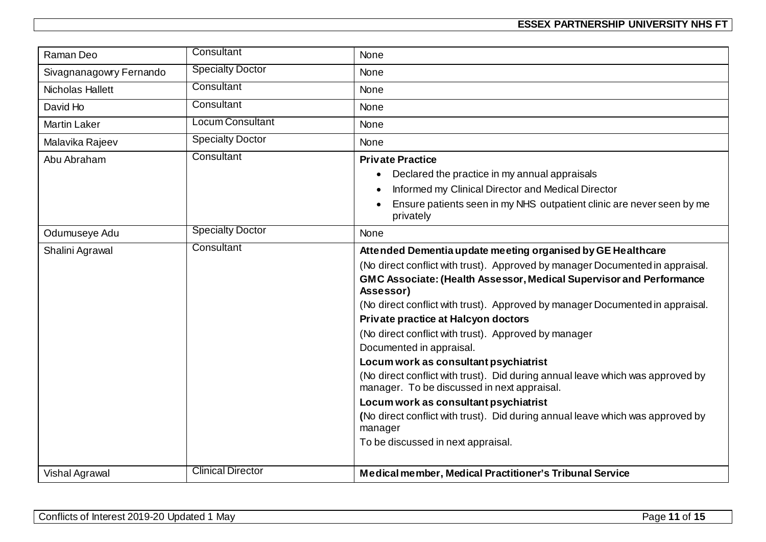| Raman Deo               | Consultant               | None                                                                                                                          |
|-------------------------|--------------------------|-------------------------------------------------------------------------------------------------------------------------------|
| Sivagnanagowry Fernando | <b>Specialty Doctor</b>  | None                                                                                                                          |
| Nicholas Hallett        | Consultant               | None                                                                                                                          |
| David Ho                | Consultant               | None                                                                                                                          |
| <b>Martin Laker</b>     | Locum Consultant         | <b>None</b>                                                                                                                   |
| Malavika Rajeev         | <b>Specialty Doctor</b>  | None                                                                                                                          |
| Abu Abraham             | Consultant               | <b>Private Practice</b>                                                                                                       |
|                         |                          | Declared the practice in my annual appraisals                                                                                 |
|                         |                          | Informed my Clinical Director and Medical Director                                                                            |
|                         |                          | Ensure patients seen in my NHS outpatient clinic are never seen by me<br>privately                                            |
| Odumuseye Adu           | <b>Specialty Doctor</b>  | None                                                                                                                          |
| Shalini Agrawal         | Consultant               | Attended Dementia update meeting organised by GE Healthcare                                                                   |
|                         |                          | (No direct conflict with trust). Approved by manager Documented in appraisal.                                                 |
|                         |                          | GMC Associate: (Health Assessor, Medical Supervisor and Performance<br>Assessor)                                              |
|                         |                          | (No direct conflict with trust). Approved by manager Documented in appraisal.                                                 |
|                         |                          | Private practice at Halcyon doctors                                                                                           |
|                         |                          | (No direct conflict with trust). Approved by manager                                                                          |
|                         |                          | Documented in appraisal.                                                                                                      |
|                         |                          | Locum work as consultant psychiatrist                                                                                         |
|                         |                          | (No direct conflict with trust). Did during annual leave which was approved by<br>manager. To be discussed in next appraisal. |
|                         |                          | Locum work as consultant psychiatrist                                                                                         |
|                         |                          | (No direct conflict with trust). Did during annual leave which was approved by<br>manager                                     |
|                         |                          | To be discussed in next appraisal.                                                                                            |
|                         |                          |                                                                                                                               |
| Vishal Agrawal          | <b>Clinical Director</b> | Medical member, Medical Practitioner's Tribunal Service                                                                       |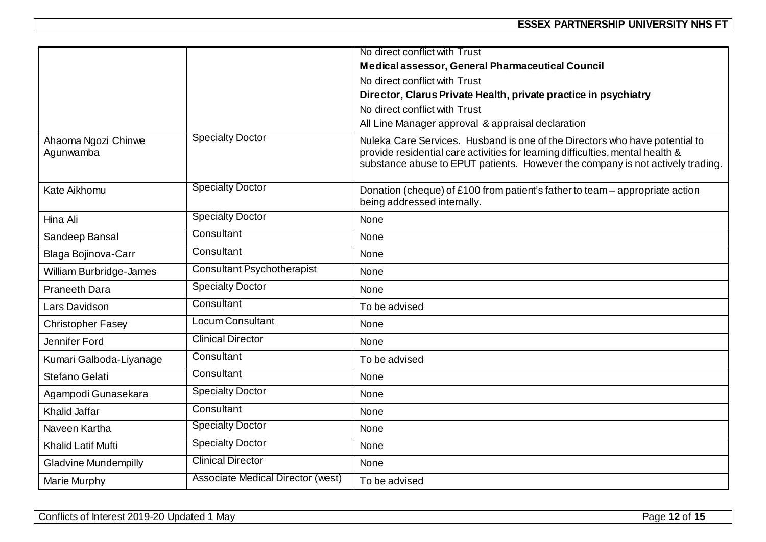|                                  |                                   | No direct conflict with Trust                                                                                                                                                                                                                   |
|----------------------------------|-----------------------------------|-------------------------------------------------------------------------------------------------------------------------------------------------------------------------------------------------------------------------------------------------|
|                                  |                                   | Medical assessor, General Pharmaceutical Council                                                                                                                                                                                                |
|                                  |                                   | No direct conflict with Trust                                                                                                                                                                                                                   |
|                                  |                                   | Director, Clarus Private Health, private practice in psychiatry                                                                                                                                                                                 |
|                                  |                                   | No direct conflict with Trust                                                                                                                                                                                                                   |
|                                  |                                   | All Line Manager approval & appraisal declaration                                                                                                                                                                                               |
| Ahaoma Ngozi Chinwe<br>Agunwamba | <b>Specialty Doctor</b>           | Nuleka Care Services. Husband is one of the Directors who have potential to<br>provide residential care activities for learning difficulties, mental health &<br>substance abuse to EPUT patients. However the company is not actively trading. |
| Kate Aikhomu                     | <b>Specialty Doctor</b>           | Donation (cheque) of £100 from patient's father to team – appropriate action<br>being addressed internally.                                                                                                                                     |
| Hina Ali                         | <b>Specialty Doctor</b>           | <b>None</b>                                                                                                                                                                                                                                     |
| Sandeep Bansal                   | Consultant                        | None                                                                                                                                                                                                                                            |
| Blaga Bojinova-Carr              | Consultant                        | None                                                                                                                                                                                                                                            |
| <b>William Burbridge-James</b>   | <b>Consultant Psychotherapist</b> | None                                                                                                                                                                                                                                            |
| <b>Praneeth Dara</b>             | <b>Specialty Doctor</b>           | None                                                                                                                                                                                                                                            |
| Lars Davidson                    | Consultant                        | To be advised                                                                                                                                                                                                                                   |
| <b>Christopher Fasey</b>         | <b>Locum Consultant</b>           | None                                                                                                                                                                                                                                            |
| Jennifer Ford                    | <b>Clinical Director</b>          | None                                                                                                                                                                                                                                            |
| Kumari Galboda-Liyanage          | Consultant                        | To be advised                                                                                                                                                                                                                                   |
| Stefano Gelati                   | Consultant                        | None                                                                                                                                                                                                                                            |
| Agampodi Gunasekara              | <b>Specialty Doctor</b>           | <b>None</b>                                                                                                                                                                                                                                     |
| Khalid Jaffar                    | Consultant                        | None                                                                                                                                                                                                                                            |
| Naveen Kartha                    | <b>Specialty Doctor</b>           | None                                                                                                                                                                                                                                            |
| Khalid Latif Mufti               | <b>Specialty Doctor</b>           | None                                                                                                                                                                                                                                            |
| <b>Gladvine Mundempilly</b>      | <b>Clinical Director</b>          | None                                                                                                                                                                                                                                            |
| Marie Murphy                     | Associate Medical Director (west) | To be advised                                                                                                                                                                                                                                   |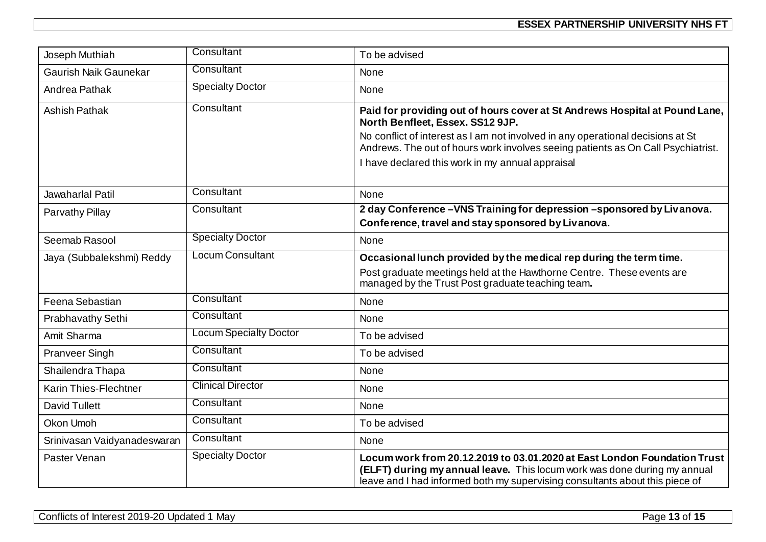| Joseph Muthiah               | Consultant                    | To be advised                                                                                                                                                                                                                                                                                                                              |
|------------------------------|-------------------------------|--------------------------------------------------------------------------------------------------------------------------------------------------------------------------------------------------------------------------------------------------------------------------------------------------------------------------------------------|
| <b>Gaurish Naik Gaunekar</b> | Consultant                    | <b>None</b>                                                                                                                                                                                                                                                                                                                                |
| Andrea Pathak                | <b>Specialty Doctor</b>       | None                                                                                                                                                                                                                                                                                                                                       |
| <b>Ashish Pathak</b>         | Consultant                    | Paid for providing out of hours cover at St Andrews Hospital at Pound Lane,<br>North Benfleet, Essex. SS12 9JP.<br>No conflict of interest as I am not involved in any operational decisions at St<br>Andrews. The out of hours work involves seeing patients as On Call Psychiatrist.<br>I have declared this work in my annual appraisal |
| Jawaharlal Patil             | Consultant                    | <b>None</b>                                                                                                                                                                                                                                                                                                                                |
| Parvathy Pillay              | Consultant                    | 2 day Conference - VNS Training for depression - sponsored by Livanova.<br>Conference, travel and stay sponsored by Livanova.                                                                                                                                                                                                              |
| Seemab Rasool                | <b>Specialty Doctor</b>       | None                                                                                                                                                                                                                                                                                                                                       |
| Jaya (Subbalekshmi) Reddy    | <b>Locum Consultant</b>       | Occasional lunch provided by the medical rep during the term time.<br>Post graduate meetings held at the Hawthorne Centre. These events are<br>managed by the Trust Post graduate teaching team.                                                                                                                                           |
| Feena Sebastian              | Consultant                    | None                                                                                                                                                                                                                                                                                                                                       |
| <b>Prabhavathy Sethi</b>     | Consultant                    | <b>None</b>                                                                                                                                                                                                                                                                                                                                |
| Amit Sharma                  | <b>Locum Specialty Doctor</b> | To be advised                                                                                                                                                                                                                                                                                                                              |
| <b>Pranveer Singh</b>        | Consultant                    | To be advised                                                                                                                                                                                                                                                                                                                              |
| Shailendra Thapa             | Consultant                    | None                                                                                                                                                                                                                                                                                                                                       |
| Karin Thies-Flechtner        | <b>Clinical Director</b>      | <b>None</b>                                                                                                                                                                                                                                                                                                                                |
| <b>David Tullett</b>         | Consultant                    | <b>None</b>                                                                                                                                                                                                                                                                                                                                |
| Okon Umoh                    | Consultant                    | To be advised                                                                                                                                                                                                                                                                                                                              |
| Srinivasan Vaidyanadeswaran  | Consultant                    | <b>None</b>                                                                                                                                                                                                                                                                                                                                |
| Paster Venan                 | <b>Specialty Doctor</b>       | Locum work from 20.12.2019 to 03.01.2020 at East London Foundation Trust<br>(ELFT) during my annual leave. This locum work was done during my annual<br>leave and I had informed both my supervising consultants about this piece of                                                                                                       |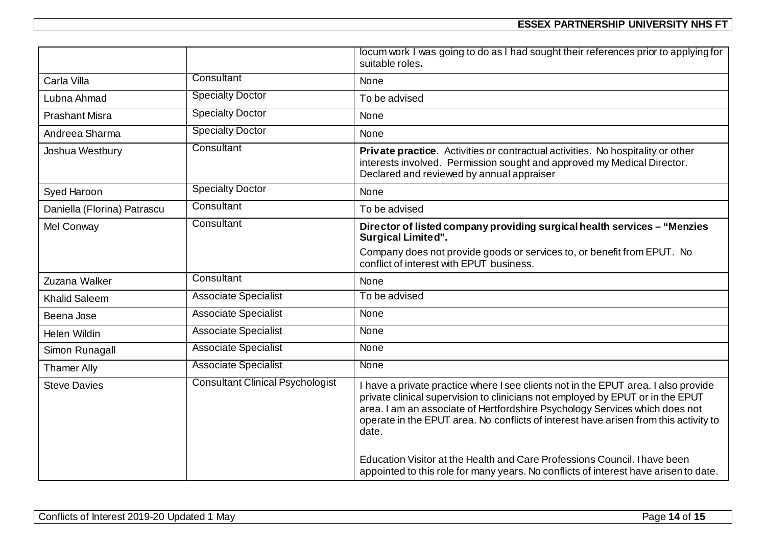|                             |                                         | locum work I was going to do as I had sought their references prior to applying for<br>suitable roles.                                                                                                                                                                                                                                                                                                                                                                                                                    |
|-----------------------------|-----------------------------------------|---------------------------------------------------------------------------------------------------------------------------------------------------------------------------------------------------------------------------------------------------------------------------------------------------------------------------------------------------------------------------------------------------------------------------------------------------------------------------------------------------------------------------|
| Carla Villa                 | Consultant                              | None                                                                                                                                                                                                                                                                                                                                                                                                                                                                                                                      |
| Lubna Ahmad                 | <b>Specialty Doctor</b>                 | To be advised                                                                                                                                                                                                                                                                                                                                                                                                                                                                                                             |
| <b>Prashant Misra</b>       | <b>Specialty Doctor</b>                 | None                                                                                                                                                                                                                                                                                                                                                                                                                                                                                                                      |
| Andreea Sharma              | <b>Specialty Doctor</b>                 | None                                                                                                                                                                                                                                                                                                                                                                                                                                                                                                                      |
| Joshua Westbury             | Consultant                              | Private practice. Activities or contractual activities. No hospitality or other<br>interests involved. Permission sought and approved my Medical Director.<br>Declared and reviewed by annual appraiser                                                                                                                                                                                                                                                                                                                   |
| Syed Haroon                 | <b>Specialty Doctor</b>                 | <b>None</b>                                                                                                                                                                                                                                                                                                                                                                                                                                                                                                               |
| Daniella (Florina) Patrascu | Consultant                              | To be advised                                                                                                                                                                                                                                                                                                                                                                                                                                                                                                             |
| Mel Conway                  | Consultant                              | Director of listed company providing surgical health services - "Menzies<br><b>Surgical Limited".</b>                                                                                                                                                                                                                                                                                                                                                                                                                     |
|                             |                                         | Company does not provide goods or services to, or benefit from EPUT. No<br>conflict of interest with EPUT business.                                                                                                                                                                                                                                                                                                                                                                                                       |
| Zuzana Walker               | Consultant                              | <b>None</b>                                                                                                                                                                                                                                                                                                                                                                                                                                                                                                               |
| <b>Khalid Saleem</b>        | <b>Associate Specialist</b>             | To be advised                                                                                                                                                                                                                                                                                                                                                                                                                                                                                                             |
| Beena Jose                  | <b>Associate Specialist</b>             | <b>None</b>                                                                                                                                                                                                                                                                                                                                                                                                                                                                                                               |
| Helen Wildin                | <b>Associate Specialist</b>             | None                                                                                                                                                                                                                                                                                                                                                                                                                                                                                                                      |
| Simon Runagall              | <b>Associate Specialist</b>             | <b>None</b>                                                                                                                                                                                                                                                                                                                                                                                                                                                                                                               |
| <b>Thamer Ally</b>          | <b>Associate Specialist</b>             | None                                                                                                                                                                                                                                                                                                                                                                                                                                                                                                                      |
| <b>Steve Davies</b>         | <b>Consultant Clinical Psychologist</b> | I have a private practice where I see clients not in the EPUT area. I also provide<br>private clinical supervision to clinicians not employed by EPUT or in the EPUT<br>area. I am an associate of Hertfordshire Psychology Services which does not<br>operate in the EPUT area. No conflicts of interest have arisen from this activity to<br>date.<br>Education Visitor at the Health and Care Professions Council. I have been<br>appointed to this role for many years. No conflicts of interest have arisen to date. |